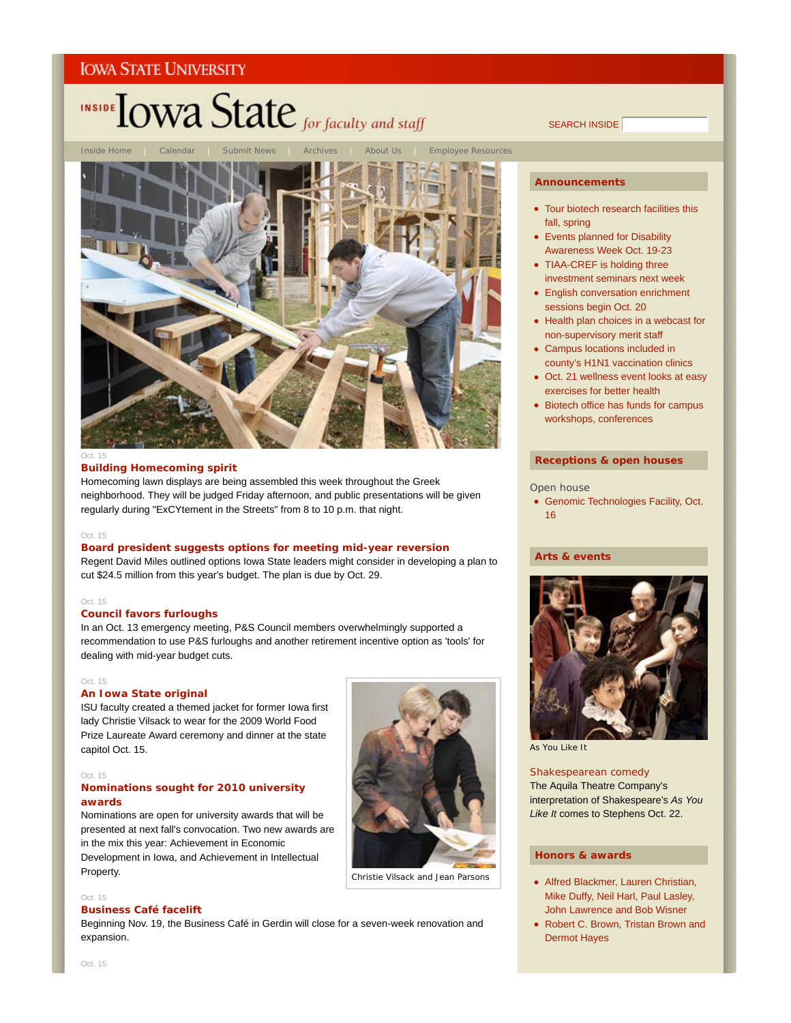

SEARCH INSIDE



#### Oct. 15

# **Building Homecoming spirit**

Homecoming lawn displays are being assembled this week throughout the Greek neighborhood. They will be judged Friday afternoon, and public presentations will be given regularly during "ExCYtement in the Streets" from 8 to 10 p.m. that night.

#### Oct. 15

# **Board president suggests options for meeting mid-year reversion**

Regent David Miles outlined options Iowa State leaders might consider in developing a plan to cut \$24.5 million from this year's budget. The plan is due by Oct. 29.

#### Oct. 15

# **Council favors furloughs**

In an Oct. 13 emergency meeting, P&S Council members overwhelmingly supported a recommendation to use P&S furloughs and another retirement incentive option as 'tools' for dealing with mid-year budget cuts.

#### Oct. 15

#### **An Iowa State original**

ISU faculty created a themed jacket for former Iowa first lady Christie Vilsack to wear for the 2009 World Food Prize Laureate Award ceremony and dinner at the state capitol Oct. 15.

# Oct. 15

# **Nominations sought for 2010 university awards**

Nominations are open for university awards that will be presented at next fall's convocation. Two new awards are in the mix this year: Achievement in Economic

Development in Iowa, and Achievement in Intellectual Property.



Christie Vilsack and Jean Parsons

# Oct. 15

# **Business Café facelift**

Beginning Nov. 19, the Business Café in Gerdin will close for a seven-week renovation and expansion.

#### **Announcements**

- Tour biotech research facilities this fall, spring
- Events planned for Disability Awareness Week Oct. 19-23
- TIAA-CREF is holding three investment seminars next week
- English conversation enrichment sessions begin Oct. 20
- Health plan choices in a webcast for non-supervisory merit staff
- Campus locations included in county's H1N1 vaccination clinics
- Oct. 21 wellness event looks at easy exercises for better health
- Biotech office has funds for campus workshops, conferences

# **Receptions & open houses**

#### Open house

Genomic Technologies Facility, Oct. 16

#### **Arts & events**



*As You Like It*

# Shakespearean comedy

The Aquila Theatre Company's interpretation of Shakespeare's *As You Like It* comes to Stephens Oct. 22.

#### **Honors & awards**

- Alfred Blackmer, Lauren Christian, Mike Duffy, Neil Harl, Paul Lasley, John Lawrence and Bob Wisner
- Robert C. Brown, Tristan Brown and Dermot Hayes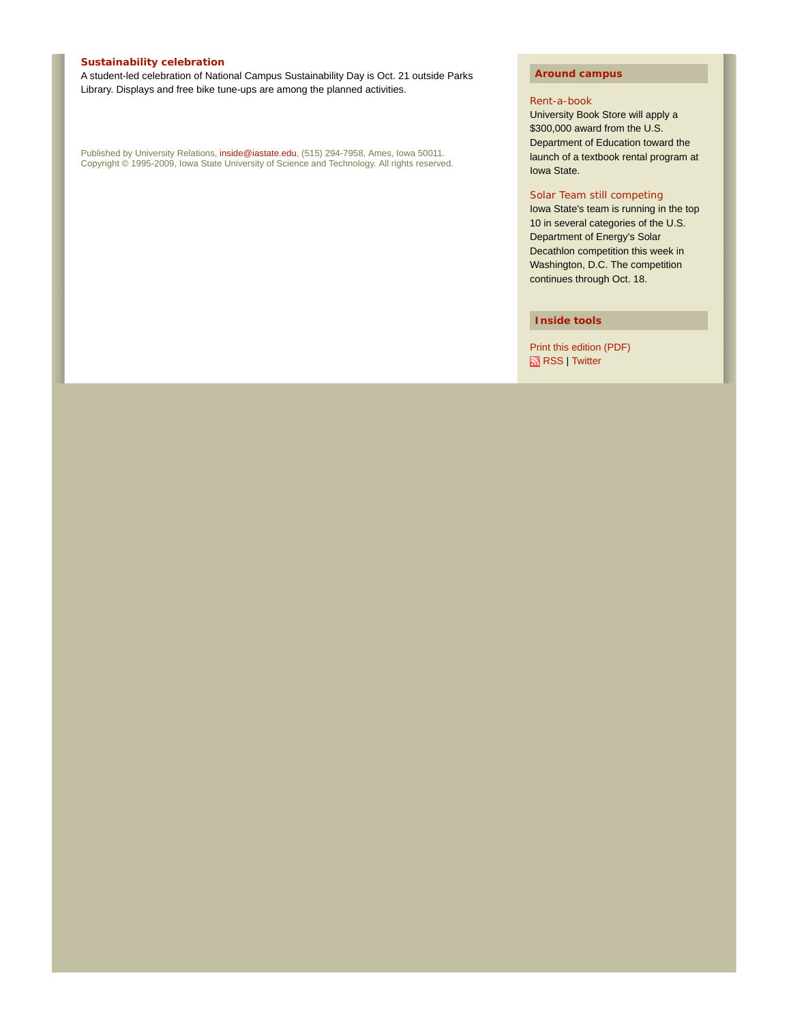# **Sustainability celebration**

A student-led celebration of National Campus Sustainability Day is Oct. 21 outside Parks Library. Displays and free bike tune-ups are among the planned activities.

Published by University Relations, inside@iastate.edu, (515) 294-7958, Ames, Iowa 50011. Copyright © 1995-2009, Iowa State University of Science and Technology. All rights reserved.

# **Around campus**

#### Rent-a-book

University Book Store will apply a \$300,000 award from the U.S. Department of Education toward the launch of a textbook rental program at Iowa State.

# Solar Team still competing

Iowa State's team is running in the top 10 in several categories of the U.S. Department of Energy's Solar Decathlon competition this week in Washington, D.C. The competition continues through Oct. 18.

**Inside tools**

Print this edition (PDF) RSS | Twitter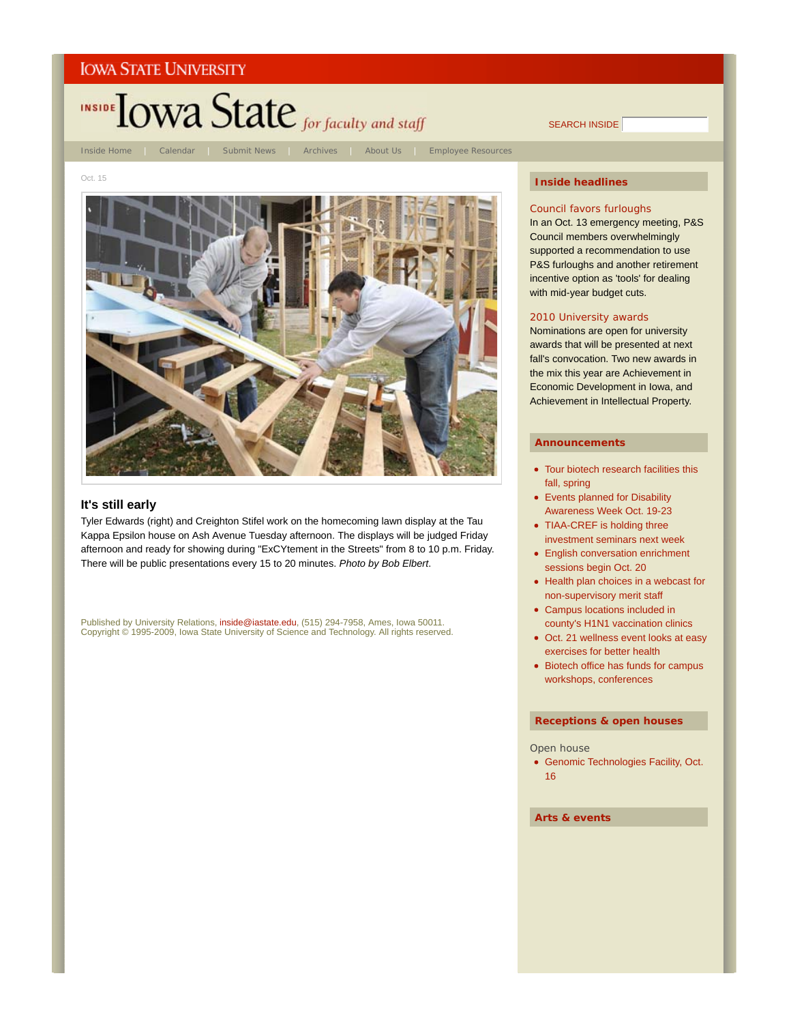

SEARCH INSIDE

Inside Home | Calendar | Submit News | Archives | About Us | Employee Resources

Oct. 15



# Council favors furloughs

In an Oct. 13 emergency meeting, P&S Council members overwhelmingly supported a recommendation to use P&S furloughs and another retirement incentive option as 'tools' for dealing with mid-year budget cuts.

# 2010 University awards

Nominations are open for university awards that will be presented at next fall's convocation. Two new awards in the mix this year are Achievement in Economic Development in Iowa, and Achievement in Intellectual Property.

#### **Announcements**

- Tour biotech research facilities this fall, spring
- Events planned for Disability Awareness Week Oct. 19-23
- TIAA-CREF is holding three investment seminars next week
- English conversation enrichment sessions begin Oct. 20
- Health plan choices in a webcast for non-supervisory merit staff
- Campus locations included in county's H1N1 vaccination clinics
- Oct. 21 wellness event looks at easy exercises for better health
- Biotech office has funds for campus workshops, conferences

# **Receptions & open houses**

#### Open house

Genomic Technologies Facility, Oct. 16

**Arts & events**

# **It's still early**

Tyler Edwards (right) and Creighton Stifel work on the homecoming lawn display at the Tau Kappa Epsilon house on Ash Avenue Tuesday afternoon. The displays will be judged Friday afternoon and ready for showing during "ExCYtement in the Streets" from 8 to 10 p.m. Friday. There will be public presentations every 15 to 20 minutes. *Photo by Bob Elbert*.

Published by University Relations, inside@iastate.edu, (515) 294-7958, Ames, Iowa 50011. Copyright © 1995-2009, Iowa State University of Science and Technology. All rights reserved.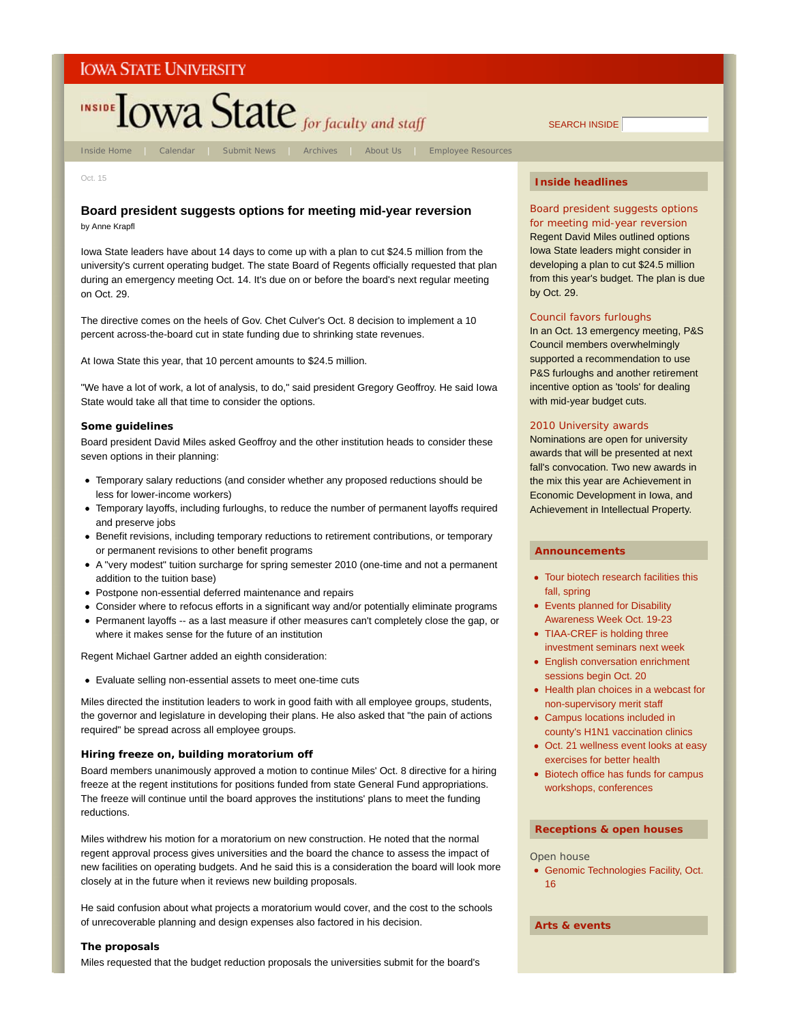

Inside Home | Calendar | Submit News | Archives | About Us | Employee Resources

SEARCH INSIDE

Oct. 15

# **Board president suggests options for meeting mid-year reversion**

by Anne Krapfl

Iowa State leaders have about 14 days to come up with a plan to cut \$24.5 million from the university's current operating budget. The state Board of Regents officially requested that plan during an emergency meeting Oct. 14. It's due on or before the board's next regular meeting on Oct. 29.

The directive comes on the heels of Gov. Chet Culver's Oct. 8 decision to implement a 10 percent across-the-board cut in state funding due to shrinking state revenues.

At Iowa State this year, that 10 percent amounts to \$24.5 million.

"We have a lot of work, a lot of analysis, to do," said president Gregory Geoffroy. He said Iowa State would take all that time to consider the options.

# **Some guidelines**

Board president David Miles asked Geoffroy and the other institution heads to consider these seven options in their planning:

- Temporary salary reductions (and consider whether any proposed reductions should be less for lower-income workers)
- Temporary layoffs, including furloughs, to reduce the number of permanent layoffs required and preserve jobs
- Benefit revisions, including temporary reductions to retirement contributions, or temporary or permanent revisions to other benefit programs
- A "very modest" tuition surcharge for spring semester 2010 (one-time and not a permanent addition to the tuition base)
- Postpone non-essential deferred maintenance and repairs
- Consider where to refocus efforts in a significant way and/or potentially eliminate programs
- Permanent layoffs -- as a last measure if other measures can't completely close the gap, or where it makes sense for the future of an institution

Regent Michael Gartner added an eighth consideration:

Evaluate selling non-essential assets to meet one-time cuts

Miles directed the institution leaders to work in good faith with all employee groups, students, the governor and legislature in developing their plans. He also asked that "the pain of actions required" be spread across all employee groups.

# **Hiring freeze on, building moratorium off**

Board members unanimously approved a motion to continue Miles' Oct. 8 directive for a hiring freeze at the regent institutions for positions funded from state General Fund appropriations. The freeze will continue until the board approves the institutions' plans to meet the funding reductions.

Miles withdrew his motion for a moratorium on new construction. He noted that the normal regent approval process gives universities and the board the chance to assess the impact of new facilities on operating budgets. And he said this is a consideration the board will look more closely at in the future when it reviews new building proposals.

He said confusion about what projects a moratorium would cover, and the cost to the schools of unrecoverable planning and design expenses also factored in his decision.

# **The proposals**

Miles requested that the budget reduction proposals the universities submit for the board's

# **Inside headlines**

Board president suggests options for meeting mid-year reversion Regent David Miles outlined options Iowa State leaders might consider in

developing a plan to cut \$24.5 million from this year's budget. The plan is due by Oct. 29.

# Council favors furloughs

In an Oct. 13 emergency meeting, P&S Council members overwhelmingly supported a recommendation to use P&S furloughs and another retirement incentive option as 'tools' for dealing with mid-year budget cuts.

# 2010 University awards

Nominations are open for university awards that will be presented at next fall's convocation. Two new awards in the mix this year are Achievement in Economic Development in Iowa, and Achievement in Intellectual Property.

#### **Announcements**

- Tour biotech research facilities this fall, spring
- Events planned for Disability Awareness Week Oct. 19-23
- TIAA-CREF is holding three investment seminars next week
- English conversation enrichment sessions begin Oct. 20
- Health plan choices in a webcast for non-supervisory merit staff
- Campus locations included in county's H1N1 vaccination clinics
- Oct. 21 wellness event looks at easy exercises for better health
- Biotech office has funds for campus workshops, conferences

# **Receptions & open houses**

Open house

Genomic Technologies Facility, Oct. 16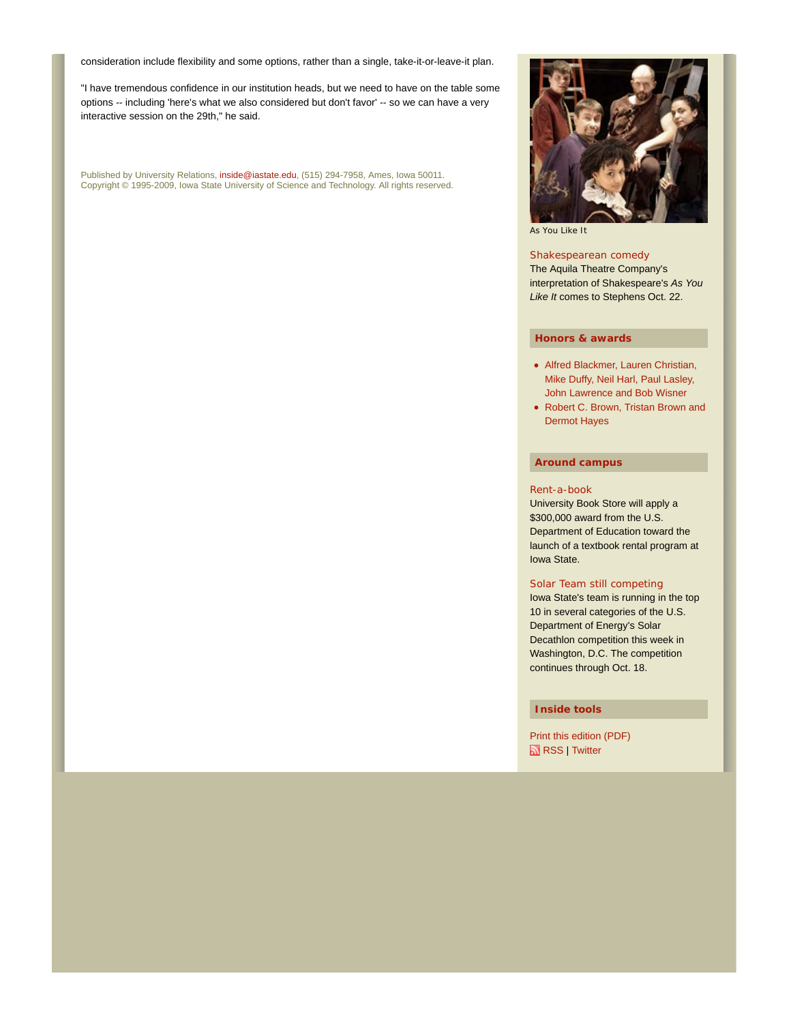consideration include flexibility and some options, rather than a single, take-it-or-leave-it plan.

"I have tremendous confidence in our institution heads, but we need to have on the table some options -- including 'here's what we also considered but don't favor' -- so we can have a very interactive session on the 29th," he said.

Published by University Relations, inside@iastate.edu, (515) 294-7958, Ames, Iowa 50011. Copyright © 1995-2009, Iowa State University of Science and Technology. All rights reserved.



*As You Like It*

# Shakespearean comedy

The Aquila Theatre Company's interpretation of Shakespeare's *As You Like It* comes to Stephens Oct. 22.

# **Honors & awards**

- Alfred Blackmer, Lauren Christian, Mike Duffy, Neil Harl, Paul Lasley, John Lawrence and Bob Wisner
- Robert C. Brown, Tristan Brown and Dermot Hayes

# **Around campus**

# Rent-a-book

University Book Store will apply a \$300,000 award from the U.S. Department of Education toward the launch of a textbook rental program at Iowa State.

# Solar Team still competing

Iowa State's team is running in the top 10 in several categories of the U.S. Department of Energy's Solar Decathlon competition this week in Washington, D.C. The competition continues through Oct. 18.

# **Inside tools**

Print this edition (PDF) RSS | Twitter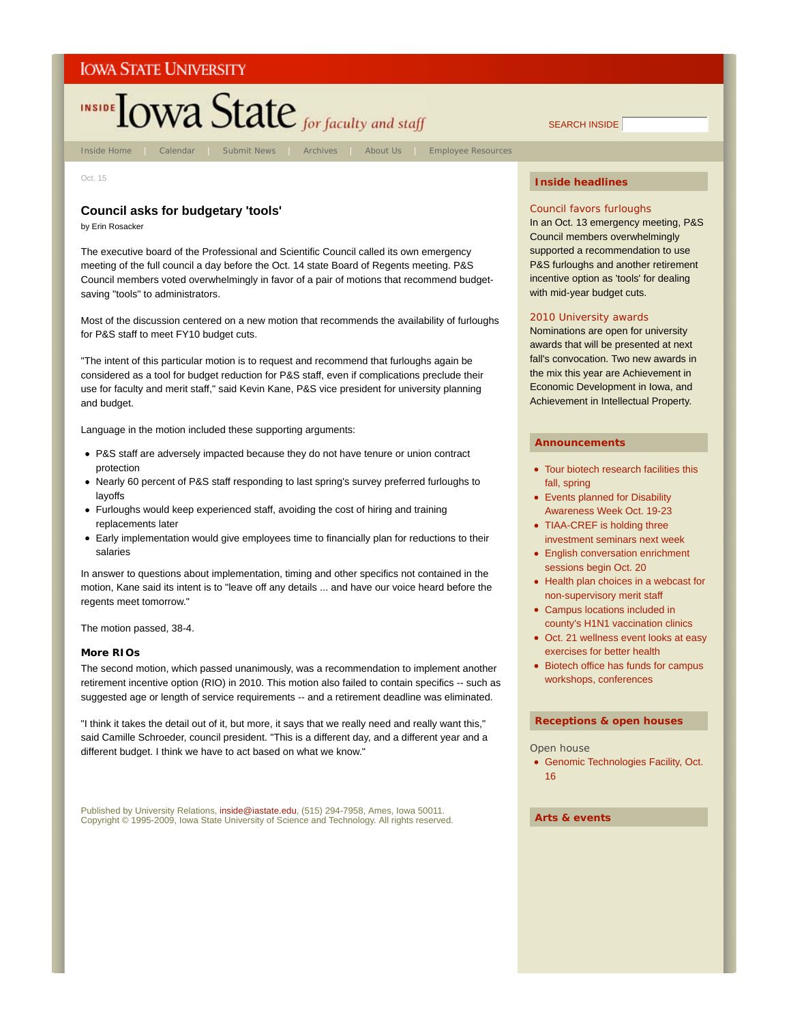

Oct. 15

# **Council asks for budgetary 'tools'**

by Erin Rosacker

The executive board of the Professional and Scientific Council called its own emergency meeting of the full council a day before the Oct. 14 state Board of Regents meeting. P&S Council members voted overwhelmingly in favor of a pair of motions that recommend budgetsaving "tools" to administrators.

Most of the discussion centered on a new motion that recommends the availability of furloughs for P&S staff to meet FY10 budget cuts.

"The intent of this particular motion is to request and recommend that furloughs again be considered as a tool for budget reduction for P&S staff, even if complications preclude their use for faculty and merit staff," said Kevin Kane, P&S vice president for university planning and budget.

Language in the motion included these supporting arguments:

- P&S staff are adversely impacted because they do not have tenure or union contract protection
- Nearly 60 percent of P&S staff responding to last spring's survey preferred furloughs to layoffs
- Furloughs would keep experienced staff, avoiding the cost of hiring and training replacements later
- Early implementation would give employees time to financially plan for reductions to their salaries

In answer to questions about implementation, timing and other specifics not contained in the motion, Kane said its intent is to "leave off any details ... and have our voice heard before the regents meet tomorrow."

The motion passed, 38-4.

#### **More RIOs**

The second motion, which passed unanimously, was a recommendation to implement another retirement incentive option (RIO) in 2010. This motion also failed to contain specifics -- such as suggested age or length of service requirements -- and a retirement deadline was eliminated.

"I think it takes the detail out of it, but more, it says that we really need and really want this," said Camille Schroeder, council president. "This is a different day, and a different year and a different budget. I think we have to act based on what we know."

Published by University Relations, inside@iastate.edu, (515) 294-7958, Ames, Iowa 50011. Copyright © 1995-2009, Iowa State University of Science and Technology. All rights reserved.

# **Inside headlines**

SEARCH INSIDE

#### Council favors furloughs

In an Oct. 13 emergency meeting, P&S Council members overwhelmingly supported a recommendation to use P&S furloughs and another retirement incentive option as 'tools' for dealing with mid-year budget cuts.

#### 2010 University awards

Nominations are open for university awards that will be presented at next fall's convocation. Two new awards in the mix this year are Achievement in Economic Development in Iowa, and Achievement in Intellectual Property.

#### **Announcements**

- Tour biotech research facilities this fall, spring
- Events planned for Disability Awareness Week Oct. 19-23
- TIAA-CREF is holding three investment seminars next week
- English conversation enrichment sessions begin Oct. 20
- Health plan choices in a webcast for non-supervisory merit staff
- Campus locations included in county's H1N1 vaccination clinics
- Oct. 21 wellness event looks at easy exercises for better health
- Biotech office has funds for campus workshops, conferences

# **Receptions & open houses**

#### Open house

Genomic Technologies Facility, Oct. 16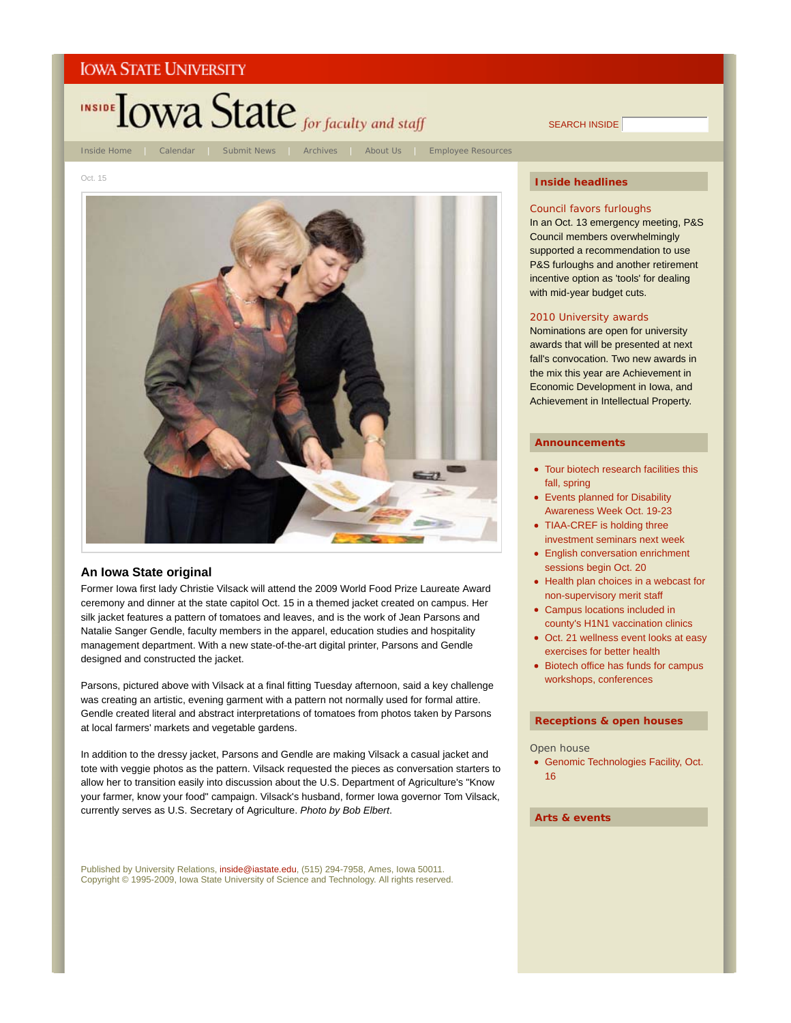

SEARCH INSIDE

Oct. 15



# **An Iowa State original**

Former Iowa first lady Christie Vilsack will attend the 2009 World Food Prize Laureate Award ceremony and dinner at the state capitol Oct. 15 in a themed jacket created on campus. Her silk jacket features a pattern of tomatoes and leaves, and is the work of Jean Parsons and Natalie Sanger Gendle, faculty members in the apparel, education studies and hospitality management department. With a new state-of-the-art digital printer, Parsons and Gendle designed and constructed the jacket.

Parsons, pictured above with Vilsack at a final fitting Tuesday afternoon, said a key challenge was creating an artistic, evening garment with a pattern not normally used for formal attire. Gendle created literal and abstract interpretations of tomatoes from photos taken by Parsons at local farmers' markets and vegetable gardens.

In addition to the dressy jacket, Parsons and Gendle are making Vilsack a casual jacket and tote with veggie photos as the pattern. Vilsack requested the pieces as conversation starters to allow her to transition easily into discussion about the U.S. Department of Agriculture's "Know your farmer, know your food" campaign. Vilsack's husband, former Iowa governor Tom Vilsack, currently serves as U.S. Secretary of Agriculture. *Photo by Bob Elbert*.

Published by University Relations, inside@iastate.edu, (515) 294-7958, Ames, Iowa 50011. Copyright © 1995-2009, Iowa State University of Science and Technology. All rights reserved.

# **Inside headlines**

#### Council favors furloughs

In an Oct. 13 emergency meeting, P&S Council members overwhelmingly supported a recommendation to use P&S furloughs and another retirement incentive option as 'tools' for dealing with mid-year budget cuts.

#### 2010 University awards

Nominations are open for university awards that will be presented at next fall's convocation. Two new awards in the mix this year are Achievement in Economic Development in Iowa, and Achievement in Intellectual Property.

#### **Announcements**

- Tour biotech research facilities this fall, spring
- Events planned for Disability Awareness Week Oct. 19-23
- TIAA-CREF is holding three investment seminars next week
- English conversation enrichment sessions begin Oct. 20
- Health plan choices in a webcast for non-supervisory merit staff
- Campus locations included in county's H1N1 vaccination clinics
- Oct. 21 wellness event looks at easy exercises for better health
- Biotech office has funds for campus workshops, conferences

#### **Receptions & open houses**

#### Open house

Genomic Technologies Facility, Oct. 16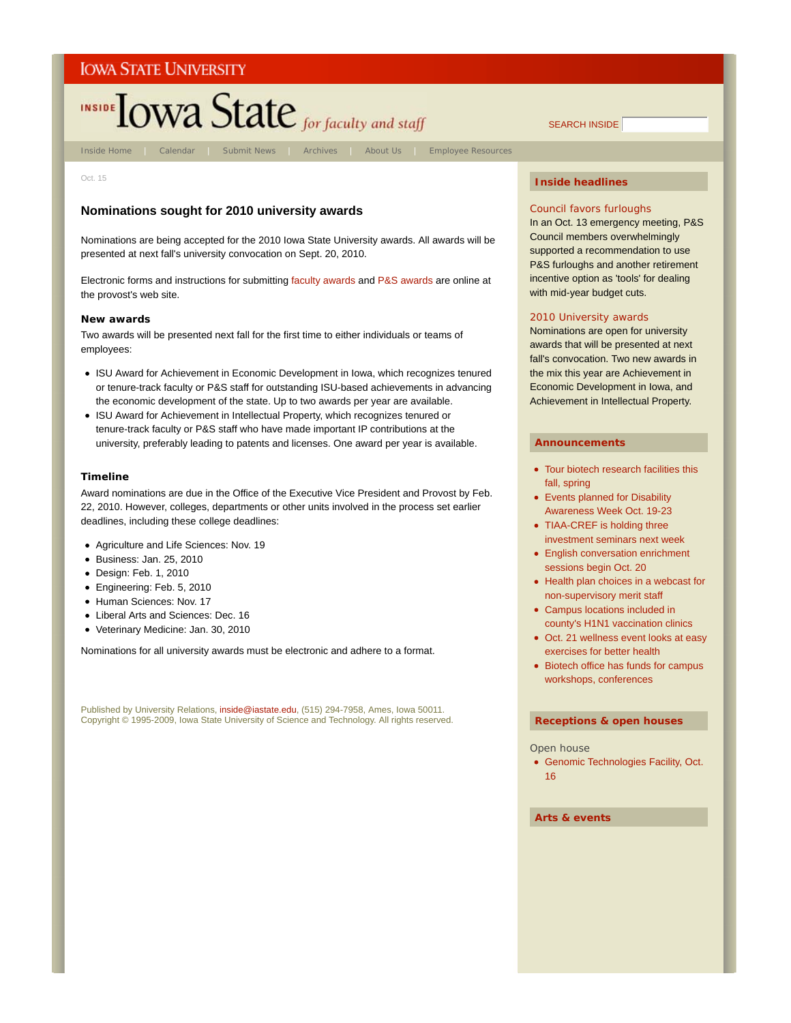# INSIDE TOWA State for faculty and staff

Inside Home | Calendar | Submit News | Archives | About Us | Employee Resources

Oct. 15

# **Nominations sought for 2010 university awards**

Nominations are being accepted for the 2010 Iowa State University awards. All awards will be presented at next fall's university convocation on Sept. 20, 2010.

Electronic forms and instructions for submitting faculty awards and P&S awards are online at the provost's web site.

# **New awards**

Two awards will be presented next fall for the first time to either individuals or teams of employees:

- ISU Award for Achievement in Economic Development in Iowa, which recognizes tenured or tenure-track faculty or P&S staff for outstanding ISU-based achievements in advancing the economic development of the state. Up to two awards per year are available.
- ISU Award for Achievement in Intellectual Property, which recognizes tenured or tenure-track faculty or P&S staff who have made important IP contributions at the university, preferably leading to patents and licenses. One award per year is available.

# **Timeline**

Award nominations are due in the Office of the Executive Vice President and Provost by Feb. 22, 2010. However, colleges, departments or other units involved in the process set earlier deadlines, including these college deadlines:

- Agriculture and Life Sciences: Nov. 19
- Business: Jan. 25, 2010
- Design: Feb. 1, 2010
- Engineering: Feb. 5, 2010
- Human Sciences: Nov. 17
- Liberal Arts and Sciences: Dec. 16
- Veterinary Medicine: Jan. 30, 2010

Nominations for all university awards must be electronic and adhere to a format.

Published by University Relations, inside@iastate.edu, (515) 294-7958, Ames, Iowa 50011. Copyright © 1995-2009, Iowa State University of Science and Technology. All rights reserved.

# **Inside headlines**

SEARCH INSIDE

# Council favors furloughs

In an Oct. 13 emergency meeting, P&S Council members overwhelmingly supported a recommendation to use P&S furloughs and another retirement incentive option as 'tools' for dealing with mid-year budget cuts.

# 2010 University awards

Nominations are open for university awards that will be presented at next fall's convocation. Two new awards in the mix this year are Achievement in Economic Development in Iowa, and Achievement in Intellectual Property.

#### **Announcements**

- Tour biotech research facilities this fall, spring
- Events planned for Disability Awareness Week Oct. 19-23
- TIAA-CREF is holding three investment seminars next week
- English conversation enrichment sessions begin Oct. 20
- Health plan choices in a webcast for non-supervisory merit staff
- Campus locations included in county's H1N1 vaccination clinics
- Oct. 21 wellness event looks at easy exercises for better health
- Biotech office has funds for campus workshops, conferences

#### **Receptions & open houses**

#### Open house

Genomic Technologies Facility, Oct. 16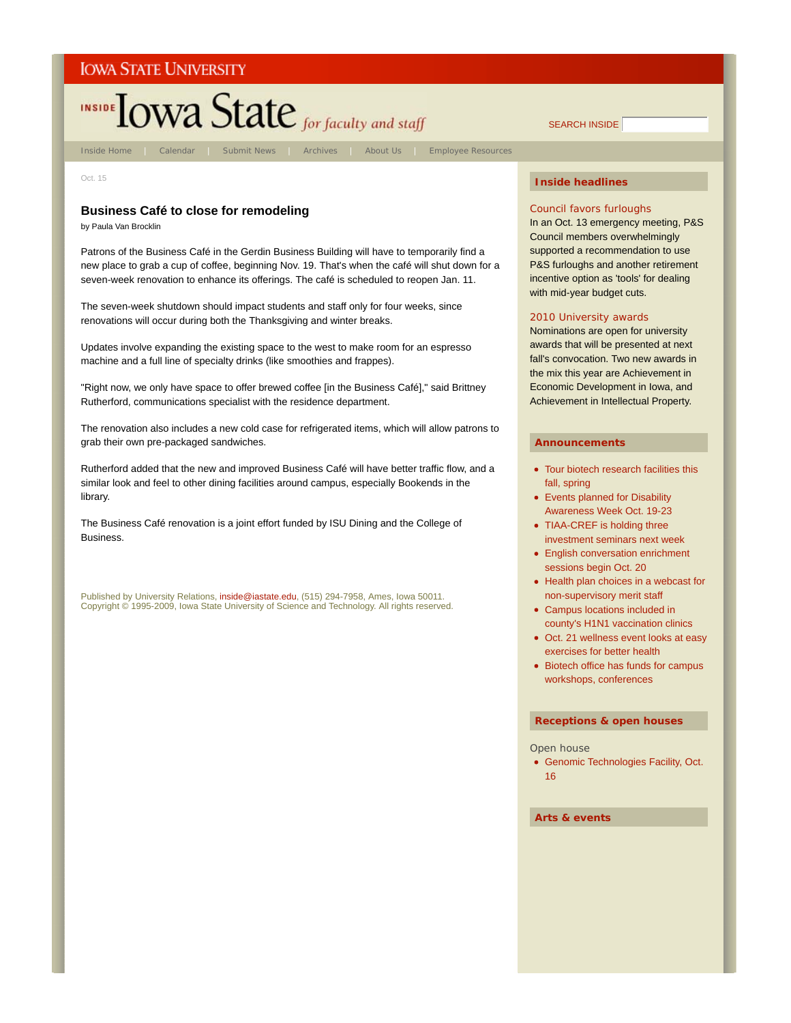

Oct. 15

# **Business Café to close for remodeling**

by Paula Van Brocklin

Patrons of the Business Café in the Gerdin Business Building will have to temporarily find a new place to grab a cup of coffee, beginning Nov. 19. That's when the café will shut down for a seven-week renovation to enhance its offerings. The café is scheduled to reopen Jan. 11.

The seven-week shutdown should impact students and staff only for four weeks, since renovations will occur during both the Thanksgiving and winter breaks.

Updates involve expanding the existing space to the west to make room for an espresso machine and a full line of specialty drinks (like smoothies and frappes).

"Right now, we only have space to offer brewed coffee [in the Business Café]," said Brittney Rutherford, communications specialist with the residence department.

The renovation also includes a new cold case for refrigerated items, which will allow patrons to grab their own pre-packaged sandwiches.

Rutherford added that the new and improved Business Café will have better traffic flow, and a similar look and feel to other dining facilities around campus, especially Bookends in the library.

The Business Café renovation is a joint effort funded by ISU Dining and the College of Business.

Published by University Relations, inside@iastate.edu, (515) 294-7958, Ames, Iowa 50011. Copyright © 1995-2009, Iowa State University of Science and Technology. All rights reserved.

# **Inside headlines**

#### Council favors furloughs

In an Oct. 13 emergency meeting, P&S Council members overwhelmingly supported a recommendation to use P&S furloughs and another retirement incentive option as 'tools' for dealing with mid-year budget cuts.

# 2010 University awards

Nominations are open for university awards that will be presented at next fall's convocation. Two new awards in the mix this year are Achievement in Economic Development in Iowa, and Achievement in Intellectual Property.

#### **Announcements**

- Tour biotech research facilities this fall, spring
- Events planned for Disability Awareness Week Oct. 19-23
- TIAA-CREF is holding three investment seminars next week
- English conversation enrichment sessions begin Oct. 20
- Health plan choices in a webcast for non-supervisory merit staff
- Campus locations included in county's H1N1 vaccination clinics
- Oct. 21 wellness event looks at easy exercises for better health
- Biotech office has funds for campus workshops, conferences

#### **Receptions & open houses**

#### Open house

Genomic Technologies Facility, Oct. 16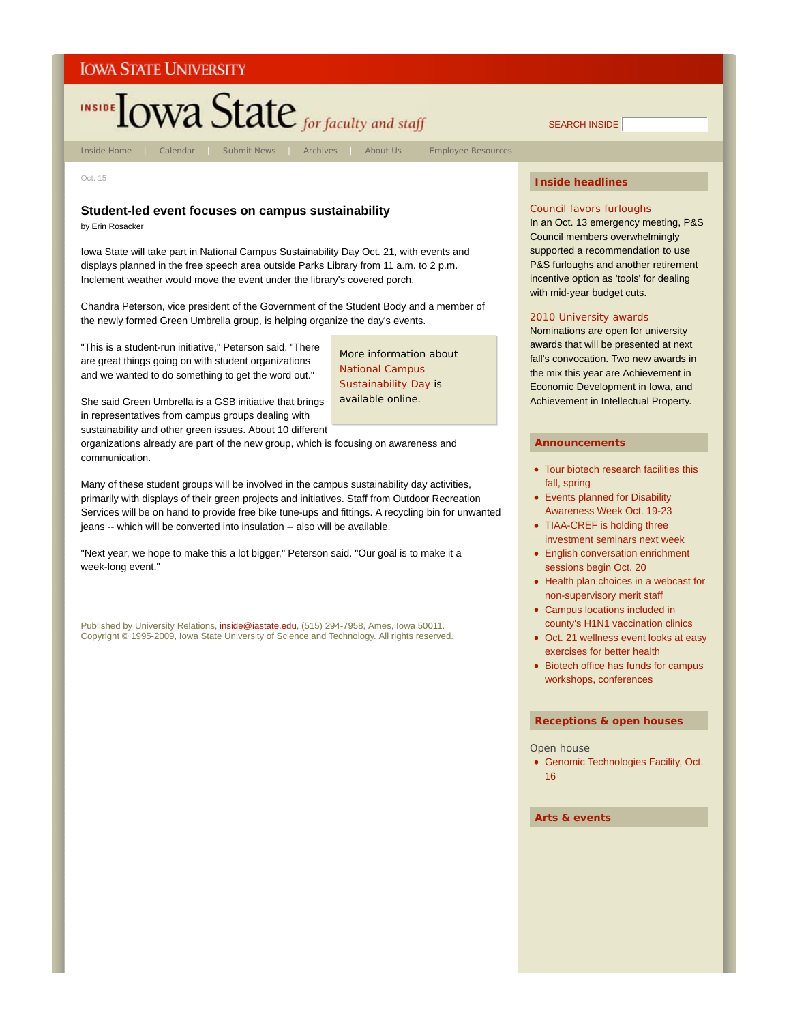

Oct. 15

# **Student-led event focuses on campus sustainability**

by Erin Rosacker

Iowa State will take part in National Campus Sustainability Day Oct. 21, with events and displays planned in the free speech area outside Parks Library from 11 a.m. to 2 p.m. Inclement weather would move the event under the library's covered porch.

Chandra Peterson, vice president of the Government of the Student Body and a member of the newly formed Green Umbrella group, is helping organize the day's events.

"This is a student-run initiative," Peterson said. "There are great things going on with student organizations and we wanted to do something to get the word out."

More information about National Campus Sustainability Day is available online.

She said Green Umbrella is a GSB initiative that brings in representatives from campus groups dealing with sustainability and other green issues. About 10 different

organizations already are part of the new group, which is focusing on awareness and communication.

Many of these student groups will be involved in the campus sustainability day activities, primarily with displays of their green projects and initiatives. Staff from Outdoor Recreation Services will be on hand to provide free bike tune-ups and fittings. A recycling bin for unwanted jeans -- which will be converted into insulation -- also will be available.

"Next year, we hope to make this a lot bigger," Peterson said. "Our goal is to make it a week-long event."

Published by University Relations, inside@iastate.edu, (515) 294-7958, Ames, Iowa 50011. Copyright © 1995-2009, Iowa State University of Science and Technology. All rights reserved.

# **Inside headlines**

SEARCH INSIDE

# Council favors furloughs

In an Oct. 13 emergency meeting, P&S Council members overwhelmingly supported a recommendation to use P&S furloughs and another retirement incentive option as 'tools' for dealing with mid-year budget cuts.

# 2010 University awards

Nominations are open for university awards that will be presented at next fall's convocation. Two new awards in the mix this year are Achievement in Economic Development in Iowa, and Achievement in Intellectual Property.

# **Announcements**

- Tour biotech research facilities this fall, spring
- Events planned for Disability Awareness Week Oct. 19-23
- TIAA-CREF is holding three investment seminars next week
- English conversation enrichment sessions begin Oct. 20
- Health plan choices in a webcast for non-supervisory merit staff
- Campus locations included in county's H1N1 vaccination clinics
- Oct. 21 wellness event looks at easy exercises for better health
- Biotech office has funds for campus workshops, conferences

#### **Receptions & open houses**

#### Open house

Genomic Technologies Facility, Oct. 16